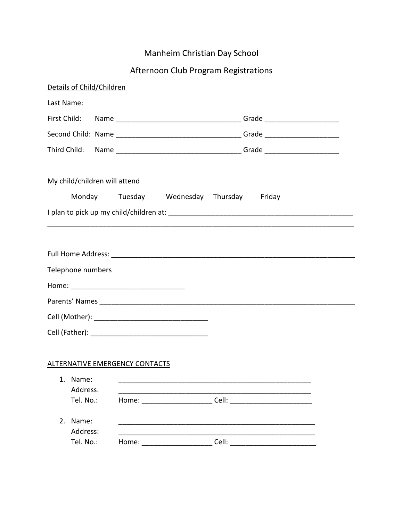# Manheim Christian Day School

# Afternoon Club Program Registrations

|              | Details of Child/Children     |                                                        |                                          |  |  |  |
|--------------|-------------------------------|--------------------------------------------------------|------------------------------------------|--|--|--|
| Last Name:   |                               |                                                        |                                          |  |  |  |
|              |                               |                                                        |                                          |  |  |  |
|              |                               |                                                        |                                          |  |  |  |
| Third Child: |                               |                                                        |                                          |  |  |  |
|              | My child/children will attend |                                                        |                                          |  |  |  |
|              |                               |                                                        | Monday Tuesday Wednesday Thursday Friday |  |  |  |
|              |                               |                                                        |                                          |  |  |  |
|              |                               |                                                        |                                          |  |  |  |
|              |                               |                                                        |                                          |  |  |  |
|              | Telephone numbers             |                                                        |                                          |  |  |  |
|              |                               |                                                        |                                          |  |  |  |
|              |                               |                                                        |                                          |  |  |  |
|              |                               |                                                        |                                          |  |  |  |
|              |                               |                                                        |                                          |  |  |  |
|              |                               |                                                        |                                          |  |  |  |
|              |                               | <b>ALTERNATIVE EMERGENCY CONTACTS</b>                  |                                          |  |  |  |
|              | 1. Name:<br>Address:          |                                                        |                                          |  |  |  |
|              | Tel. No.:                     |                                                        |                                          |  |  |  |
| 2.           | Name:                         |                                                        |                                          |  |  |  |
|              | Address:<br>Tel. No.:         | Home: $\frac{1}{\sqrt{1-\frac{1}{2}}\cdot\frac{1}{2}}$ |                                          |  |  |  |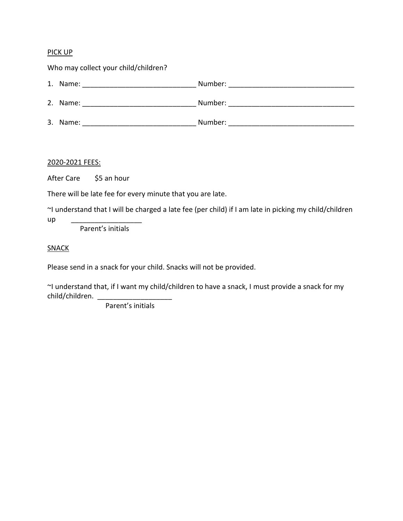## PICK UP

| Who may collect your child/children? |                                   |                                      |  |  |
|--------------------------------------|-----------------------------------|--------------------------------------|--|--|
|                                      | 1. Name: ________________________ | Number:                              |  |  |
|                                      | 2. Name: ________________________ | Number: ____________________________ |  |  |
|                                      | 3. Name:                          | Number:                              |  |  |

2020-2021 FEES:

After Care \$5 an hour

There will be late fee for every minute that you are late.

~I understand that I will be charged a late fee (per child) if I am late in picking my child/children

up \_\_\_\_\_\_\_\_\_\_\_\_\_\_\_\_\_\_\_\_\_\_\_\_\_

Parent's initials

**SNACK** 

Please send in a snack for your child. Snacks will not be provided.

~I understand that, if I want my child/children to have a snack, I must provide a snack for my child/children.

Parent's initials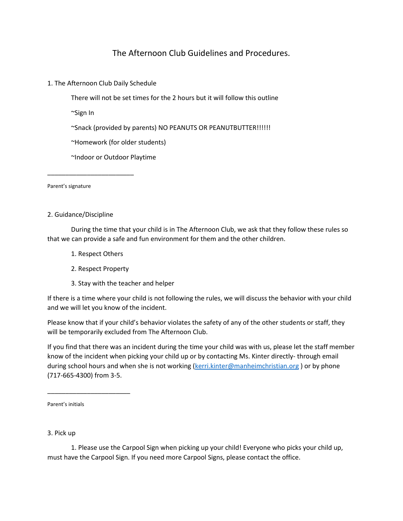# The Afternoon Club Guidelines and Procedures.

1. The Afternoon Club Daily Schedule

There will not be set times for the 2 hours but it will follow this outline

~Sign In

~Snack (provided by parents) NO PEANUTS OR PEANUTBUTTER!!!!!!

~Homework (for older students)

~Indoor or Outdoor Playtime

Parent's signature

2. Guidance/Discipline

\_\_\_\_\_\_\_\_\_\_\_\_\_\_\_\_\_\_\_\_\_\_\_\_

During the time that your child is in The Afternoon Club, we ask that they follow these rules so that we can provide a safe and fun environment for them and the other children.

- 1. Respect Others
- 2. Respect Property
- 3. Stay with the teacher and helper

If there is a time where your child is not following the rules, we will discuss the behavior with your child and we will let you know of the incident.

Please know that if your child's behavior violates the safety of any of the other students or staff, they will be temporarily excluded from The Afternoon Club.

If you find that there was an incident during the time your child was with us, please let the staff member know of the incident when picking your child up or by contacting Ms. Kinter directly- through email during school hours and when she is not working [\(kerri.kinter@manheimchristian.org](mailto:kerri.kinter@manheimchristian.org)) or by phone (717-665-4300) from 3-5.

Parent's initials

\_\_\_\_\_\_\_\_\_\_\_\_\_\_\_\_\_\_\_\_\_\_\_

3. Pick up

1. Please use the Carpool Sign when picking up your child! Everyone who picks your child up, must have the Carpool Sign. If you need more Carpool Signs, please contact the office.